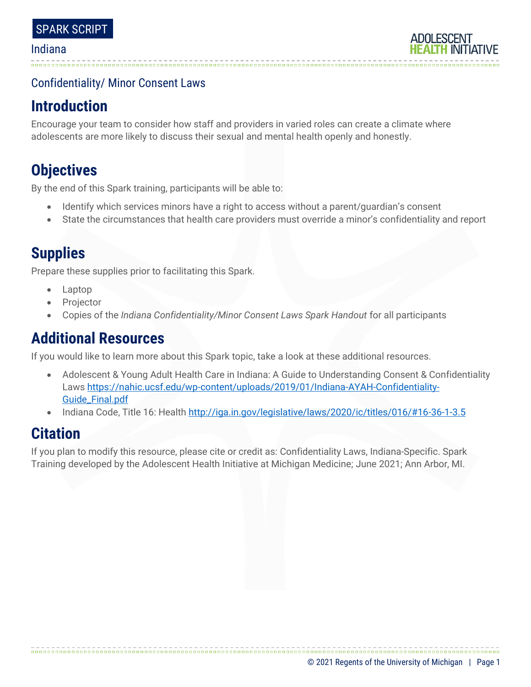## Confidentiality/ Minor Consent Laws

# **Introduction**

Encourage your team to consider how staff and providers in varied roles can create a climate where adolescents are more likely to discuss their sexual and mental health openly and honestly.

# **Objectives**

By the end of this Spark training, participants will be able to:

- Identify which services minors have a right to access without a parent/guardian's consent
- State the circumstances that health care providers must override a minor's confidentiality and report

# **Supplies**

Prepare these supplies prior to facilitating this Spark.

- Laptop
- **Projector**
- Copies of the *Indiana Confidentiality/Minor Consent Laws Spark Handout* for all participants

# **Additional Resources**

If you would like to learn more about this Spark topic, take a look at these additional resources.

- Adolescent & Young Adult Health Care in Indiana: A Guide to Understanding Consent & Confidentiality Law[s https://nahic.ucsf.edu/wp-content/uploads/2019/01/Indiana-AYAH-Confidentiality-](https://nahic.ucsf.edu/wp-content/uploads/2019/01/Indiana-AYAH-Confidentiality-Guide_Final.pdf)[Guide\\_Final.pdf](https://nahic.ucsf.edu/wp-content/uploads/2019/01/Indiana-AYAH-Confidentiality-Guide_Final.pdf)
- Indiana Code, Title 16: Health<http://iga.in.gov/legislative/laws/2020/ic/titles/016/#16-36-1-3.5>

## **Citation**

If you plan to modify this resource, please cite or credit as: Confidentiality Laws, Indiana-Specific. Spark Training developed by the Adolescent Health Initiative at Michigan Medicine; June 2021; Ann Arbor, MI.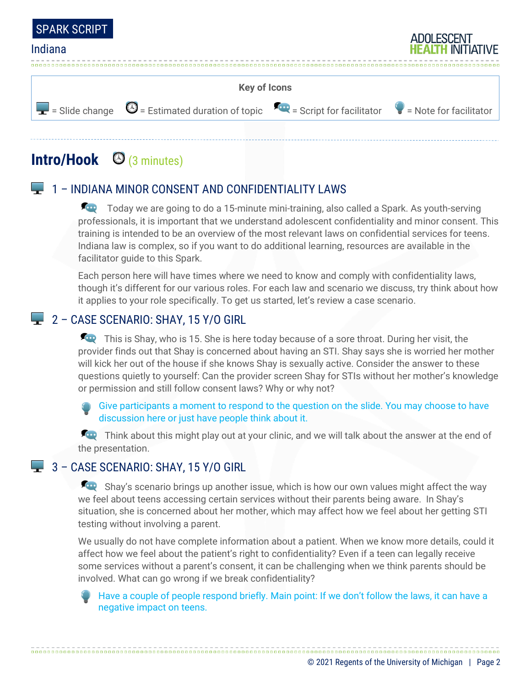



# **Intro/Hook** (3 minutes)

## 1 – INDIANA MINOR CONSENT AND CONFIDENTIALITY LAWS

Today we are going to do a 15-minute mini-training, also called a Spark. As youth-serving professionals, it is important that we understand adolescent confidentiality and minor consent. This training is intended to be an overview of the most relevant laws on confidential services for teens. Indiana law is complex, so if you want to do additional learning, resources are available in the facilitator guide to this Spark.

Each person here will have times where we need to know and comply with confidentiality laws, though it's different for our various roles. For each law and scenario we discuss, try think about how it applies to your role specifically. To get us started, let's review a case scenario.

## 2 - CASE SCENARIO: SHAY, 15 Y/O GIRL

This is Shay, who is 15. She is here today because of a sore throat. During her visit, the provider finds out that Shay is concerned about having an STI. Shay says she is worried her mother will kick her out of the house if she knows Shay is sexually active. Consider the answer to these questions quietly to yourself: Can the provider screen Shay for STIs without her mother's knowledge or permission and still follow consent laws? Why or why not?

Give participants a moment to respond to the question on the slide. You may choose to have discussion here or just have people think about it.

Think about this might play out at your clinic, and we will talk about the answer at the end of the presentation.

### 3 - CASE SCENARIO: SHAY, 15 Y/O GIRL

Shay's scenario brings up another issue, which is how our own values might affect the way we feel about teens accessing certain services without their parents being aware. In Shay's situation, she is concerned about her mother, which may affect how we feel about her getting STI testing without involving a parent.

We usually do not have complete information about a patient. When we know more details, could it affect how we feel about the patient's right to confidentiality? Even if a teen can legally receive some services without a parent's consent, it can be challenging when we think parents should be involved. What can go wrong if we break confidentiality?

Have a couple of people respond briefly. Main point: If we don't follow the laws, it can have a negative impact on teens.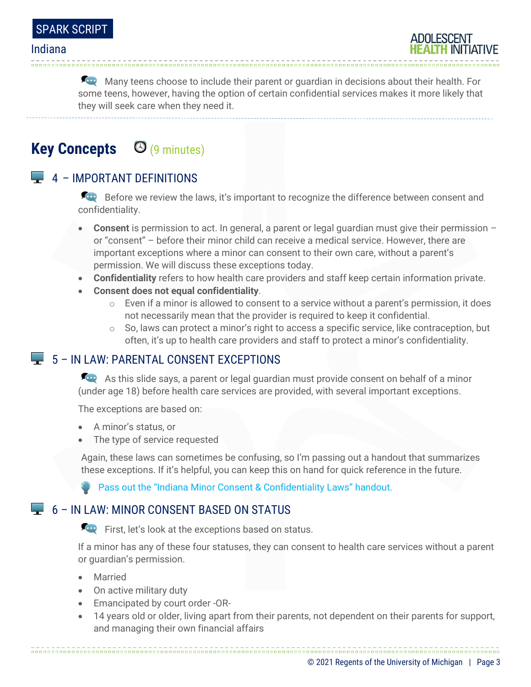Many teens choose to include their parent or quardian in decisions about their health. For some teens, however, having the option of certain confidential services makes it more likely that they will seek care when they need it.

# **Key Concepts** (9 minutes)

## $\Box$  4 – IMPORTANT DEFINITIONS

Before we review the laws, it's important to recognize the difference between consent and confidentiality.

- **Consent** is permission to act. In general, a parent or legal guardian must give their permission or "consent" – before their minor child can receive a medical service. However, there are important exceptions where a minor can consent to their own care, without a parent's permission. We will discuss these exceptions today.
- **Confidentiality** refers to how health care providers and staff keep certain information private.
- **Consent does not equal confidentiality**.
	- $\circ$  Even if a minor is allowed to consent to a service without a parent's permission, it does not necessarily mean that the provider is required to keep it confidential.
	- $\circ$  So, laws can protect a minor's right to access a specific service, like contraception, but often, it's up to health care providers and staff to protect a minor's confidentiality.

### $\Box$  5 – IN I AW: PARENTAL CONSENT EXCEPTIONS

As this slide says, a parent or legal guardian must provide consent on behalf of a minor (under age 18) before health care services are provided, with several important exceptions.

The exceptions are based on:

- A minor's status, or
- The type of service requested

Again, these laws can sometimes be confusing, so I'm passing out a handout that summarizes these exceptions. If it's helpful, you can keep this on hand for quick reference in the future.

**Pass out the "Indiana Minor Consent & Confidentiality Laws" handout.** 

### $\Box$  6 – IN LAW: MINOR CONSENT BASED ON STATUS

First, let's look at the exceptions based on status.

If a minor has any of these four statuses, they can consent to health care services without a parent or guardian's permission.

- Married
- On active military duty
- Emancipated by court order -OR-
- 14 years old or older, living apart from their parents, not dependent on their parents for support, and managing their own financial affairs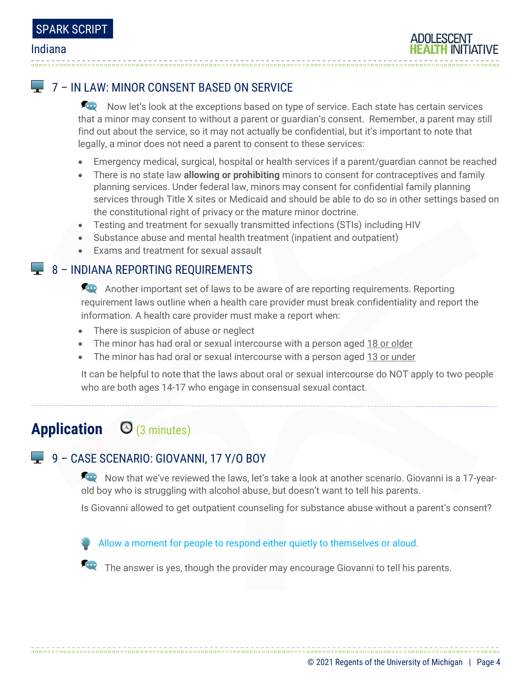## **L** 7 – IN LAW: MINOR CONSENT BASED ON SERVICE

Now let's look at the exceptions based on type of service. Each state has certain services that a minor may consent to without a parent or guardian's consent. Remember, a parent may still find out about the service, so it may not actually be confidential, but it's important to note that legally, a minor does not need a parent to consent to these services:

- Emergency medical, surgical, hospital or health services if a parent/guardian cannot be reached
- There is no state law **allowing or prohibiting** minors to consent for contraceptives and family planning services. Under federal law, minors may consent for confidential family planning services through Title X sites or Medicaid and should be able to do so in other settings based on the constitutional right of privacy or the mature minor doctrine.
- Testing and treatment for sexually transmitted infections (STIs) including HIV
- Substance abuse and mental health treatment (inpatient and outpatient)
- Exams and treatment for sexual assault

### $\Box$  8 – INDIANA REPORTING REQUIREMENTS

Another important set of laws to be aware of are reporting requirements. Reporting requirement laws outline when a health care provider must break confidentiality and report the information. A health care provider must make a report when:

- There is suspicion of abuse or neglect
- The minor has had oral or sexual intercourse with a person aged 18 or older
- The minor has had oral or sexual intercourse with a person aged 13 or under

It can be helpful to note that the laws about oral or sexual intercourse do NOT apply to two people who are both ages 14-17 who engage in consensual sexual contact.

# **Application** (3 minutes)

## 9 – CASE SCENARIO: GIOVANNI, 17 Y/O BOY

Now that we've reviewed the laws, let's take a look at another scenario. Giovanni is a 17-yearold boy who is struggling with alcohol abuse, but doesn't want to tell his parents.

Is Giovanni allowed to get outpatient counseling for substance abuse without a parent's consent?

#### Allow a moment for people to respond either quietly to themselves or aloud.

The answer is yes, though the provider may encourage Giovanni to tell his parents.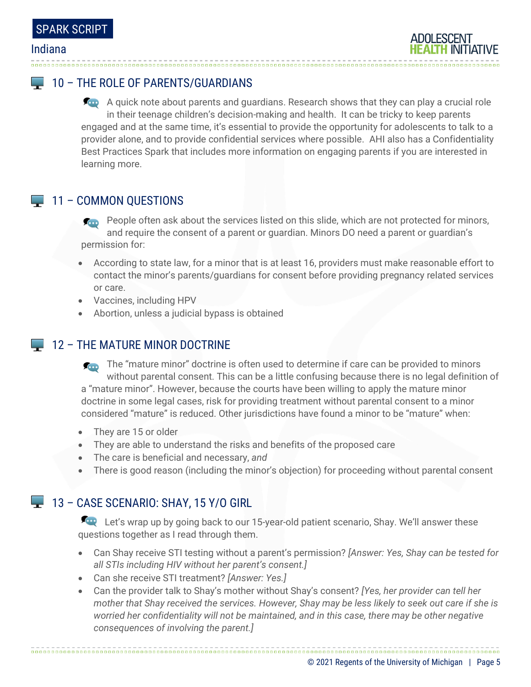## **10 - THE ROLE OF PARENTS/GUARDIANS**

A quick note about parents and guardians. Research shows that they can play a crucial role in their teenage children's decision-making and health. It can be tricky to keep parents engaged and at the same time, it's essential to provide the opportunity for adolescents to talk to a provider alone, and to provide confidential services where possible. AHI also has a Confidentiality Best Practices Spark that includes more information on engaging parents if you are interested in learning more.

### 11 – COMMON QUESTIONS

- **People often ask about the services listed on this slide, which are not protected for minors,** and require the consent of a parent or guardian. Minors DO need a parent or guardian's permission for:
- According to state law, for a minor that is at least 16, providers must make reasonable effort to contact the minor's parents/guardians for consent before providing pregnancy related services or care.
- Vaccines, including HPV
- Abortion, unless a judicial bypass is obtained

### **12 - THE MATURE MINOR DOCTRINE**

The "mature minor" doctrine is often used to determine if care can be provided to minors without parental consent. This can be a little confusing because there is no legal definition of a "mature minor". However, because the courts have been willing to apply the mature minor doctrine in some legal cases, risk for providing treatment without parental consent to a minor considered "mature" is reduced. Other jurisdictions have found a minor to be "mature" when:

- They are 15 or older
- They are able to understand the risks and benefits of the proposed care
- The care is beneficial and necessary, *and*
- There is good reason (including the minor's objection) for proceeding without parental consent

## 13 - CASE SCENARIO: SHAY, 15 Y/O GIRL

Let's wrap up by going back to our 15-year-old patient scenario, Shay. We'll answer these questions together as I read through them.

- Can Shay receive STI testing without a parent's permission? *[Answer: Yes, Shay can be tested for all STIs including HIV without her parent's consent.]*
- Can she receive STI treatment? *[Answer: Yes.]*
- Can the provider talk to Shay's mother without Shay's consent? *[Yes, her provider can tell her mother that Shay received the services. However, Shay may be less likely to seek out care if she is worried her confidentiality will not be maintained, and in this case, there may be other negative consequences of involving the parent.]*